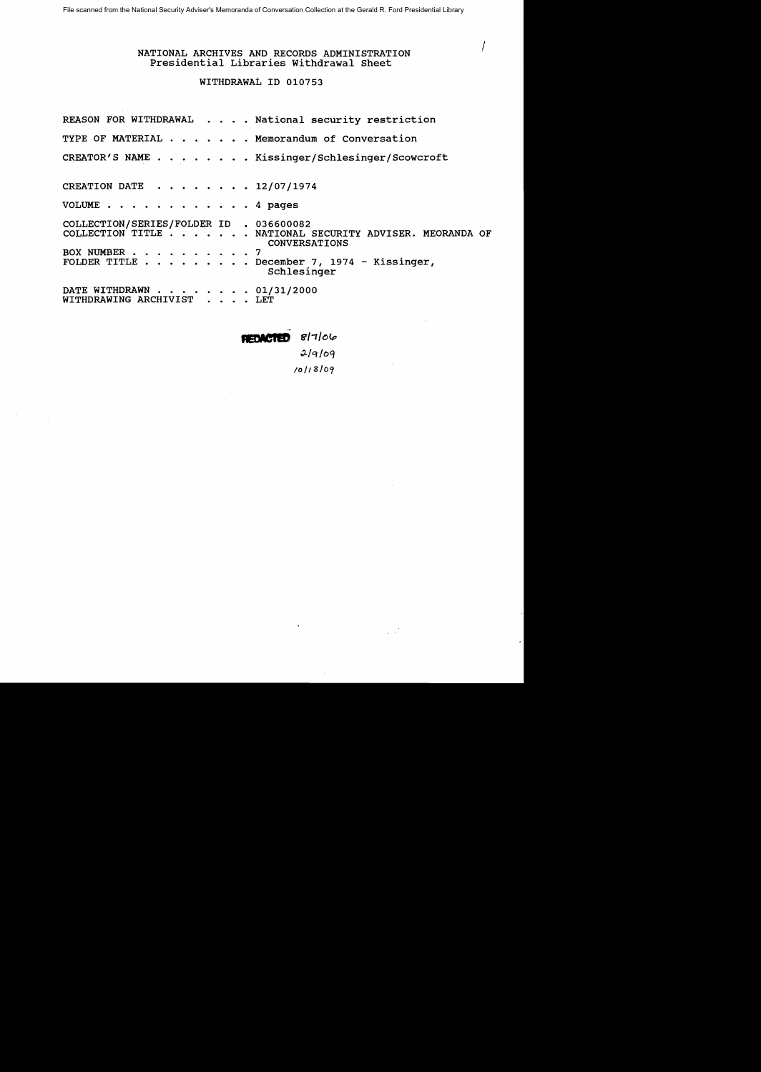# / NATIONAL ARCHIVES AND RECORDS ADMINISTRATION Presidential Libraries Withdrawal Sheet

# WITHDRAWAL ID 010753

|                                                             | REASON FOR WITHDRAWAL National security restriction                                                                                                                       |  |
|-------------------------------------------------------------|---------------------------------------------------------------------------------------------------------------------------------------------------------------------------|--|
|                                                             | TYPE OF MATERIAL Memorandum of Conversation                                                                                                                               |  |
|                                                             | CREATOR'S NAME Kissinger/Schlesinger/Scowcroft                                                                                                                            |  |
| CREATION DATE 12/07/1974                                    |                                                                                                                                                                           |  |
| VOLUME $\cdots$ $\cdots$ $\cdots$ $\cdots$ $\cdots$ 4 pages |                                                                                                                                                                           |  |
| COLLECTION/SERIES/FOLDER ID . 036600082<br>BOX NUMBER 7     | COLLECTION TITLE NATIONAL SECURITY ADVISER. MEORANDA OF<br><b>CONVERSATIONS</b><br>FOLDER TITLE $\cdots$ $\cdots$ $\cdots$ . December 7, 1974 - Kissinger,<br>Schlesinger |  |
| DATE WITHDRAWN 01/31/2000<br>WITHDRAWING ARCHIVIST LET      |                                                                                                                                                                           |  |

**,,,,,,,,,,,,**  $817/06$ 

~/q/oq */0/13/09*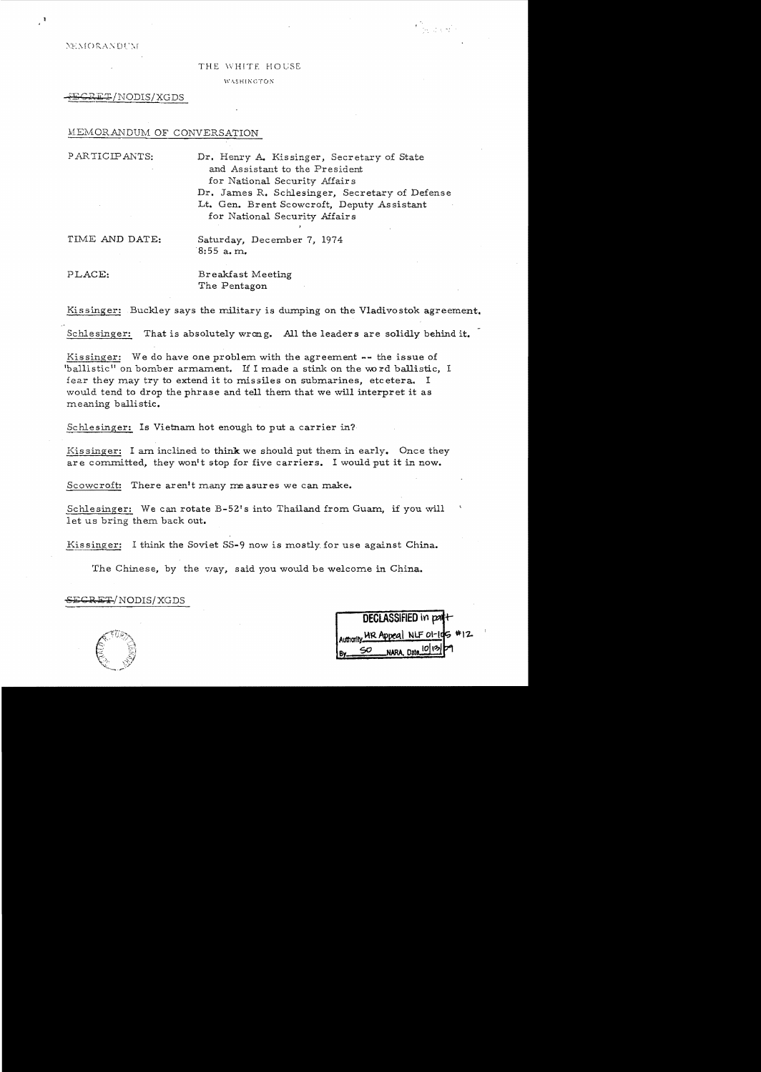**NEMORANDUM** 

#### THE WHITE HOUSE

**WASHINGTON** 

 $^{\tt RET/NDDIS/XGDS}$ 

### MEMORANDUM OF CONVERSATION

PARTICIPANTS: Dr. Henry A. Kissinger, Secretary of State and Assistant to the President for National Security Affair s Dr. James R. Schlesinger, Secretary of Defense Lt. Gen. Brent Scowcroft, Deputy Assistant for National Security Affairs

TIME AND DATE: Saturday, December 7, 1974 8: 55 a. m.

PLACE: Breakfast Meeting The Pentagon

Kissinger: Buckley says the military is dumping on the Vladivostok agreement.

Schlesinger: That is absolutely wrong. All the leaders are solidly behind it.

ballistic" on bomber armament. If I made a stink on the word ballistic, I Kissinger: We do have one problem with the agreement -- the issue of fear they may try to extend it to missiles on submarines, etc etera. I would tend to drop the phrase and tell them that we will interpret it as meaning ballistic.

Schlesinger: Is Vietnam hot enough to put a carrier in?

Kissinger: I am inclined to think we should put them in early. Once they are committed, they won't stop for five carriers. I would put it in now.

Scowcroft: There aren't many measures we can make.

Schlesinger: We can rotate B-52's into Thailand from Guam, if you will let us bring them back out.

Kissinger: I think the Soviet SS-9 now is mostly for use against China.

The Chinese, by the vay, said you would be welcome in China.

DECLASSIFIED in part+ Authority. MR Appeal NLF 01-105 NARA. Date\_10 12

E<del>CRET</del>/NODIS/XGDS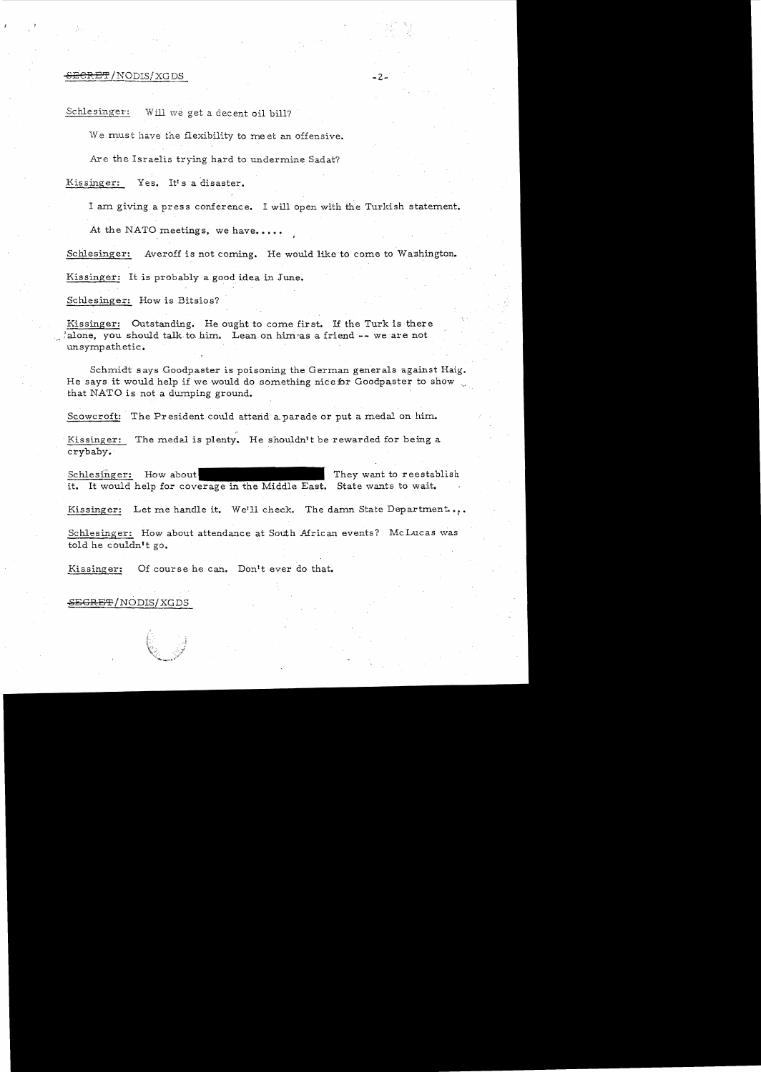## 8<del>ECRET</del>/NODIS/XGDS -2-

Schlesinger: Will we get a decent oil bill?

We must have the flexibility to meet an offensive.

Are the Israelis trying hard to undermine Sadat?

Kissinger: Yes. It's a disaster.

I am giving a press conference. I will open with the Turkish statement.

At the NATO meetings, we have....

Schlesinger: Averoff is not coming. He would like to come to Washington.

Kissinger: It is probably a good idea in June.

Schlesinger: How is Bitsios?

Kissinger: Outstanding. He ought to come first. If the Turk is there :alone, you should talk to him. Lean on him~as a friend -- we are not unsympathetic.

Schmidt says Goodpaster is poisoning the German generals against Haig. He says it would help if we would do something nice for Goodpaster to show that NATO is not a dumping ground.

Scowcroft: The President could attend a parade or put a medal on him.

. Kissinger: The medal is plenty. He shouldn't be rewarded for being a crybaby•.

Schlesinger: How about it. It would help for coverage in the Middle East. State wants to wait. They want to reestablish

Kissinger: Let me handle it. We'll check. The damn State Department...

Schlesinger: How about attendance at South African events? McLucas was told he couldn't go.

Kissinger: Of course he can. Don't ever do that.

SEGRET/NODIS/XGDS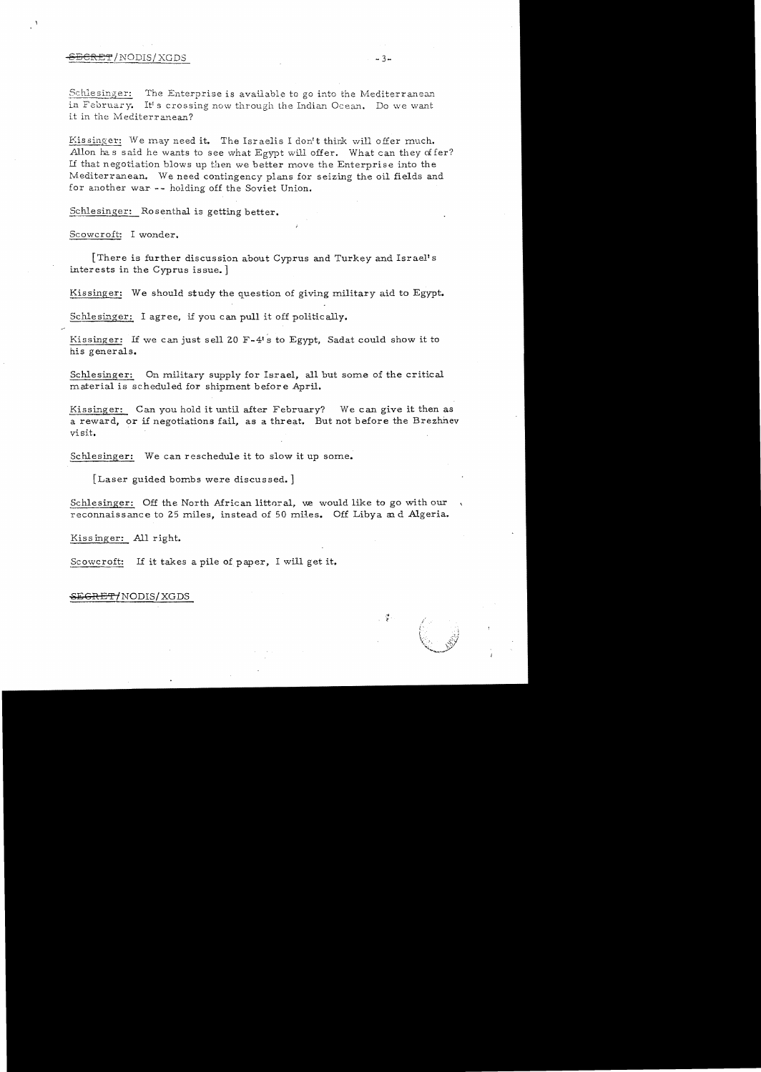### $\overline{B}$ CRET/NODIS/XGDS  $-3$  .

Schlesinger: The Enterprise is available to go into the Mediterranean in February. It's crossing now through the Indian Ocean. Do we want it in the Mediterranean?

Kissinger: We may need it. The Israelis I don't think will offer much. Allon has said he wants to see what Egypt will offer. What can they offer? Lf that negotiation blows up then we better move the Enterprise into the Mediterranean. We need contingency plans for seizing the oil fields and for another war -- holding off the Soviet Union.

Schlesinger: Rosenthal is getting better.

Scowcroft: I wonder.

[There is further discussion about Cyprus and Turkey and Israeli s interests in the Cyprus issue. ]

Kissinger: We should study the question of giving military aid to Egypt.

Schlesinger: I agree, if you can pull it off politically.

Kissinger: If we can just sell 20 F-4's to Egypt, Sadat could show it to his generals.

Schlesinger: On military supply for Israel, all but some of the critical material is scheduled for shipment before April.

Kissinger: Can you hold it until after February? We can give it then as a reward, or if negotiations fail, as a threat. But not before the Brezhnev visit.

Schlesinger: We can reschedule it to slow it up some.

[Laser guided bombs were discussed. ]

Schlesinger: Off the North African littoral, we would like to go with our reconnaissance to 25 miles, instead of 50 miles. Off Libya and Algeria.

Kis singer: All right.

Scowcroft: If it takes a pile of paper, I will get it.

#### ~GRE'1'/NODIS/ XGDS

. 궃.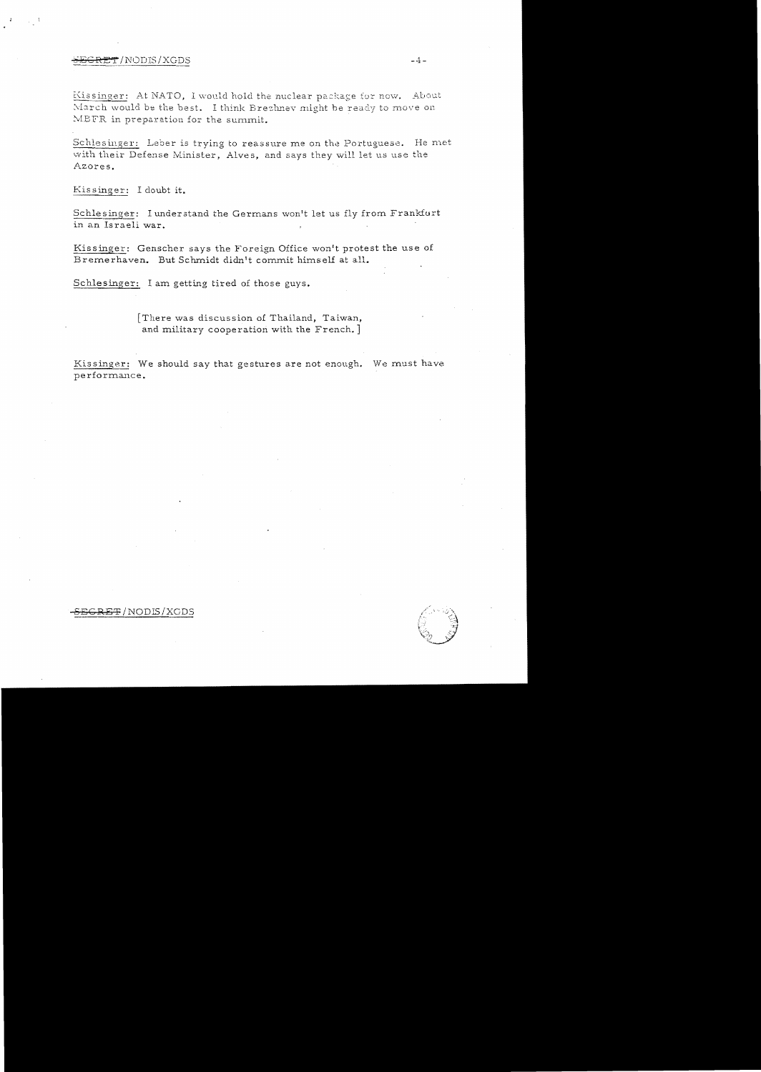### $\overline{BGRET}$ /NODIS/XGDS  $-4-$

Kissinger: At NATO, I would hold the nuclear package for now. About March would be the best. I think Brezhnev might be ready to move on MBFR in preparation for the summit.

Schlesinger: Leber is trying to reassure me on the Portuguese. He met with their Defense Minister, Alves, and says they will let us use the Azores.

Kissinger: I doubt it.

in an Israeli war. Schlesinger: I understand the Germans won't let us fly from Frankfurt

Kissinger: Genscher says the Foreign Office won't protest the use of Bremerhaven. But Schmidt didn't commit himself at all.

Schlesinger: I am getting tired of those guys.

[There was discussion of Thailand, Taiwan, and military cooperation with the French. ]

Kissinger: We should say that gestures are not enough. We must have performance.

<del>SRET</del> /NODIS / XGDS